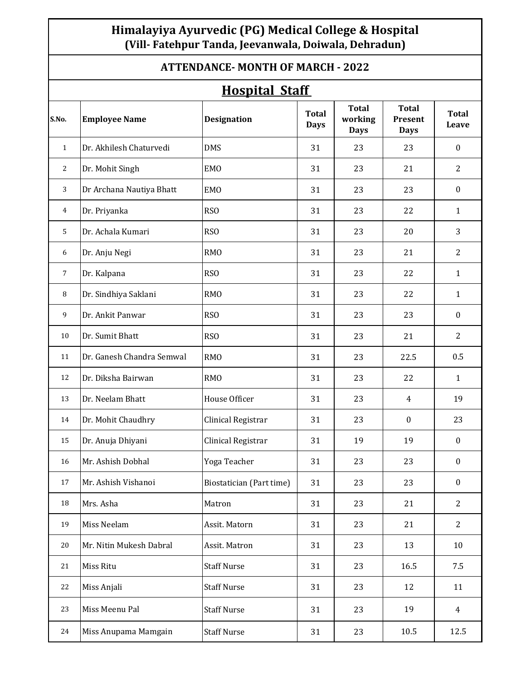## **Himalayiya Ayurvedic (PG) Medical College & Hospital (Vill- Fatehpur Tanda, Jeevanwala, Doiwala, Dehradun)**

#### **ATTENDANCE- MONTH OF MARCH - 2022**

# **Hospital Staff**

| <u>Hospital Staff</u> |                           |                          |                             |                                        |                                        |                       |  |
|-----------------------|---------------------------|--------------------------|-----------------------------|----------------------------------------|----------------------------------------|-----------------------|--|
| S.No.                 | <b>Employee Name</b>      | <b>Designation</b>       | <b>Total</b><br><b>Days</b> | <b>Total</b><br>working<br><b>Days</b> | <b>Total</b><br>Present<br><b>Days</b> | <b>Total</b><br>Leave |  |
| $\mathbf{1}$          | Dr. Akhilesh Chaturvedi   | <b>DMS</b>               | 31                          | 23                                     | 23                                     | $\boldsymbol{0}$      |  |
| $\overline{2}$        | Dr. Mohit Singh           | <b>EMO</b>               | 31                          | 23                                     | 21                                     | $\mathbf{2}$          |  |
| 3                     | Dr Archana Nautiya Bhatt  | <b>EMO</b>               | 31                          | 23                                     | 23                                     | $\boldsymbol{0}$      |  |
| 4                     | Dr. Priyanka              | <b>RSO</b>               | 31                          | 23                                     | 22                                     | $\mathbf{1}$          |  |
| 5                     | Dr. Achala Kumari         | <b>RSO</b>               | 31                          | 23                                     | 20                                     | 3                     |  |
| 6                     | Dr. Anju Negi             | <b>RMO</b>               | 31                          | 23                                     | 21                                     | $\overline{2}$        |  |
| $\overline{7}$        | Dr. Kalpana               | <b>RSO</b>               | 31                          | 23                                     | 22                                     | $\mathbf{1}$          |  |
| 8                     | Dr. Sindhiya Saklani      | <b>RMO</b>               | 31                          | 23                                     | 22                                     | $\mathbf{1}$          |  |
| 9                     | Dr. Ankit Panwar          | RSO                      | 31                          | 23                                     | 23                                     | $\boldsymbol{0}$      |  |
| 10                    | Dr. Sumit Bhatt           | RSO                      | 31                          | 23                                     | 21                                     | $\overline{2}$        |  |
| 11                    | Dr. Ganesh Chandra Semwal | <b>RMO</b>               | 31                          | 23                                     | 22.5                                   | 0.5                   |  |
| 12                    | Dr. Diksha Bairwan        | <b>RMO</b>               | 31                          | 23                                     | 22                                     | $\mathbf{1}$          |  |
| 13                    | Dr. Neelam Bhatt          | House Officer            | 31                          | 23                                     | 4                                      | 19                    |  |
| 14                    | Dr. Mohit Chaudhry        | Clinical Registrar       | 31                          | 23                                     | $\boldsymbol{0}$                       | 23                    |  |
| 15                    | Dr. Anuja Dhiyani         | Clinical Registrar       | 31                          | 19                                     | 19                                     | $\bf{0}$              |  |
| 16                    | Mr. Ashish Dobhal         | Yoga Teacher             | 31                          | 23                                     | 23                                     | $\bf{0}$              |  |
| 17                    | Mr. Ashish Vishanoi       | Biostatician (Part time) | 31                          | 23                                     | 23                                     | $\boldsymbol{0}$      |  |
| 18                    | Mrs. Asha                 | Matron                   | 31                          | 23                                     | 21                                     | 2                     |  |
| 19                    | Miss Neelam               | Assit. Matorn            | 31                          | 23                                     | 21                                     | 2                     |  |
| 20                    | Mr. Nitin Mukesh Dabral   | Assit. Matron            | 31                          | 23                                     | 13                                     | 10                    |  |
| 21                    | Miss Ritu                 | <b>Staff Nurse</b>       | 31                          | 23                                     | 16.5                                   | 7.5                   |  |
| 22                    | Miss Anjali               | <b>Staff Nurse</b>       | 31                          | 23                                     | 12                                     | 11                    |  |
| 23                    | Miss Meenu Pal            | <b>Staff Nurse</b>       | 31                          | 23                                     | 19                                     | $\overline{4}$        |  |
| 24                    | Miss Anupama Mamgain      | <b>Staff Nurse</b>       | 31                          | 23                                     | 10.5                                   | 12.5                  |  |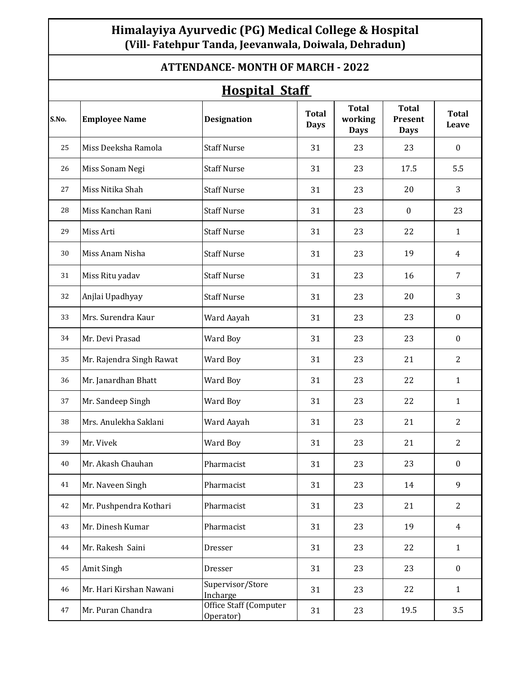## **Himalayiya Ayurvedic (PG) Medical College & Hospital (Vill- Fatehpur Tanda, Jeevanwala, Doiwala, Dehradun)**

#### **ATTENDANCE- MONTH OF MARCH - 2022**

## **Hospital Staff**

|       | <u>HOSPItal Stail</u>    |                                     |                             |                                        |                                        |                       |  |  |
|-------|--------------------------|-------------------------------------|-----------------------------|----------------------------------------|----------------------------------------|-----------------------|--|--|
| S.No. | <b>Employee Name</b>     | <b>Designation</b>                  | <b>Total</b><br><b>Days</b> | <b>Total</b><br>working<br><b>Days</b> | <b>Total</b><br>Present<br><b>Days</b> | <b>Total</b><br>Leave |  |  |
| 25    | Miss Deeksha Ramola      | <b>Staff Nurse</b>                  | 31                          | 23                                     | 23                                     | $\boldsymbol{0}$      |  |  |
| 26    | Miss Sonam Negi          | <b>Staff Nurse</b>                  | 31                          | 23                                     | 17.5                                   | 5.5                   |  |  |
| 27    | Miss Nitika Shah         | <b>Staff Nurse</b>                  | 31                          | 23                                     | 20                                     | 3                     |  |  |
| 28    | Miss Kanchan Rani        | <b>Staff Nurse</b>                  | 31                          | 23                                     | $\bf{0}$                               | 23                    |  |  |
| 29    | Miss Arti                | <b>Staff Nurse</b>                  | 31                          | 23                                     | 22                                     | $\mathbf 1$           |  |  |
| 30    | Miss Anam Nisha          | <b>Staff Nurse</b>                  | 31                          | 23                                     | 19                                     | 4                     |  |  |
| 31    | Miss Ritu yadav          | <b>Staff Nurse</b>                  | 31                          | 23                                     | 16                                     | $\overline{7}$        |  |  |
| 32    | Anjlai Upadhyay          | <b>Staff Nurse</b>                  | 31                          | 23                                     | 20                                     | 3                     |  |  |
| 33    | Mrs. Surendra Kaur       | Ward Aayah                          | 31                          | 23                                     | 23                                     | $\bf{0}$              |  |  |
| 34    | Mr. Devi Prasad          | Ward Boy                            | 31                          | 23                                     | 23                                     | $\bf{0}$              |  |  |
| 35    | Mr. Rajendra Singh Rawat | Ward Boy                            | 31                          | 23                                     | 21                                     | $\overline{2}$        |  |  |
| 36    | Mr. Janardhan Bhatt      | Ward Boy                            | 31                          | 23                                     | 22                                     | $\mathbf{1}$          |  |  |
| 37    | Mr. Sandeep Singh        | Ward Boy                            | 31                          | 23                                     | 22                                     | $\mathbf{1}$          |  |  |
| 38    | Mrs. Anulekha Saklani    | Ward Aayah                          | 31                          | 23                                     | 21                                     | $\overline{2}$        |  |  |
| 39    | Mr. Vivek                | Ward Boy                            | 31                          | 23                                     | 21                                     | 2                     |  |  |
| 40    | Mr. Akash Chauhan        | Pharmacist                          | 31                          | 23                                     | 23                                     | $\bf{0}$              |  |  |
| 41    | Mr. Naveen Singh         | Pharmacist                          | 31                          | 23                                     | 14                                     | 9                     |  |  |
| 42    | Mr. Pushpendra Kothari   | Pharmacist                          | 31                          | 23                                     | 21                                     | $\overline{2}$        |  |  |
| 43    | Mr. Dinesh Kumar         | Pharmacist                          | 31                          | 23                                     | 19                                     | $\overline{4}$        |  |  |
| 44    | Mr. Rakesh Saini         | Dresser                             | 31                          | 23                                     | 22                                     | $\mathbf{1}$          |  |  |
| 45    | Amit Singh               | Dresser                             | 31                          | 23                                     | 23                                     | $\mathbf{0}$          |  |  |
| 46    | Mr. Hari Kirshan Nawani  | Supervisor/Store<br>Incharge        | 31                          | 23                                     | 22                                     | $\mathbf{1}$          |  |  |
| 47    | Mr. Puran Chandra        | Office Staff (Computer<br>Operator) | 31                          | 23                                     | 19.5                                   | 3.5                   |  |  |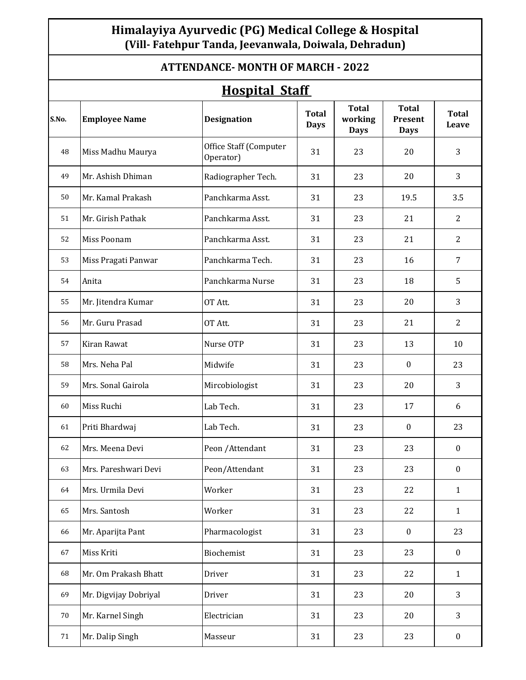## **Himalayiya Ayurvedic (PG) Medical College & Hospital (Vill- Fatehpur Tanda, Jeevanwala, Doiwala, Dehradun)**

#### **ATTENDANCE- MONTH OF MARCH - 2022**

# **Hospital Staff**

| <u>Hospital Staff</u> |                       |                                     |                             |                                        |                                        |                       |  |  |
|-----------------------|-----------------------|-------------------------------------|-----------------------------|----------------------------------------|----------------------------------------|-----------------------|--|--|
| S.No.                 | <b>Employee Name</b>  | <b>Designation</b>                  | <b>Total</b><br><b>Days</b> | <b>Total</b><br>working<br><b>Days</b> | <b>Total</b><br>Present<br><b>Days</b> | <b>Total</b><br>Leave |  |  |
| 48                    | Miss Madhu Maurya     | Office Staff (Computer<br>Operator) | 31                          | 23                                     | 20                                     | 3                     |  |  |
| 49                    | Mr. Ashish Dhiman     | Radiographer Tech.                  | 31                          | 23                                     | 20                                     | 3                     |  |  |
| 50                    | Mr. Kamal Prakash     | Panchkarma Asst.                    | 31                          | 23                                     | 19.5                                   | 3.5                   |  |  |
| 51                    | Mr. Girish Pathak     | Panchkarma Asst.                    | 31                          | 23                                     | 21                                     | $\overline{2}$        |  |  |
| 52                    | Miss Poonam           | Panchkarma Asst.                    | 31                          | 23                                     | 21                                     | $\overline{2}$        |  |  |
| 53                    | Miss Pragati Panwar   | Panchkarma Tech.                    | 31                          | 23                                     | 16                                     | $\overline{7}$        |  |  |
| 54                    | Anita                 | Panchkarma Nurse                    | 31                          | 23                                     | 18                                     | 5                     |  |  |
| 55                    | Mr. Jitendra Kumar    | OT Att.                             | 31                          | 23                                     | 20                                     | 3                     |  |  |
| 56                    | Mr. Guru Prasad       | OT Att.                             | 31                          | 23                                     | 21                                     | $\overline{2}$        |  |  |
| 57                    | Kiran Rawat           | Nurse OTP                           | 31                          | 23                                     | 13                                     | 10                    |  |  |
| 58                    | Mrs. Neha Pal         | Midwife                             | 31                          | 23                                     | $\boldsymbol{0}$                       | 23                    |  |  |
| 59                    | Mrs. Sonal Gairola    | Mircobiologist                      | 31                          | 23                                     | 20                                     | 3                     |  |  |
| 60                    | Miss Ruchi            | Lab Tech.                           | 31                          | 23                                     | 17                                     | 6                     |  |  |
| 61                    | Priti Bhardwaj        | Lab Tech.                           | 31                          | 23                                     | $\bf{0}$                               | 23                    |  |  |
| 62                    | Mrs. Meena Devi       | Peon / Attendant                    | 31                          | 23                                     | 23                                     | $\boldsymbol{0}$      |  |  |
| 63                    | Mrs. Pareshwari Devi  | Peon/Attendant                      | 31                          | 23                                     | 23                                     | $\boldsymbol{0}$      |  |  |
| 64                    | Mrs. Urmila Devi      | Worker                              | 31                          | 23                                     | 22                                     | $\mathbf{1}$          |  |  |
| 65                    | Mrs. Santosh          | Worker                              | 31                          | 23                                     | 22                                     | $\mathbf{1}$          |  |  |
| 66                    | Mr. Aparijta Pant     | Pharmacologist                      | 31                          | 23                                     | $\boldsymbol{0}$                       | 23                    |  |  |
| 67                    | Miss Kriti            | Biochemist                          | 31                          | 23                                     | 23                                     | $\boldsymbol{0}$      |  |  |
| 68                    | Mr. Om Prakash Bhatt  | Driver                              | 31                          | 23                                     | 22                                     | $\mathbf{1}$          |  |  |
| 69                    | Mr. Digvijay Dobriyal | Driver                              | 31                          | 23                                     | 20                                     | 3                     |  |  |
| 70                    | Mr. Karnel Singh      | Electrician                         | 31                          | 23                                     | 20                                     | 3                     |  |  |
| 71                    | Mr. Dalip Singh       | Masseur                             | 31                          | 23                                     | 23                                     | $\boldsymbol{0}$      |  |  |